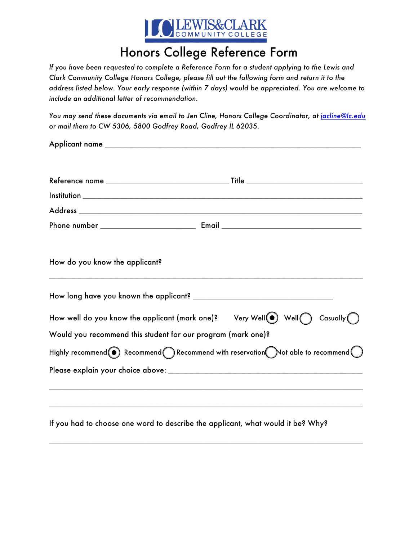

## Honors College Reference Form

*If you have been requested to complete a Reference Form for a student applying to the Lewis and Clark Community College Honors College, please fill out the following form and return it to the address listed below. Your early response (within 7 days) would be appreciated. You are welcome to include an additional letter of recommendation.*

*You may send these documents via email to Jen Cline, Honors College Coordinator, at jacline@lc.edu or mail them to CW 5306, 5800 Godfrey Road, Godfrey IL 62035.* 

| How do you know the applicant?                               |                                                                                                                                     |
|--------------------------------------------------------------|-------------------------------------------------------------------------------------------------------------------------------------|
|                                                              |                                                                                                                                     |
|                                                              |                                                                                                                                     |
| Would you recommend this student for our program (mark one)? |                                                                                                                                     |
|                                                              | Highly recommend $\textcircled{\bullet}$ Recommend $\bigcirc$ Recommend with reservation $\bigcirc$ ot able to recommend $\bigcirc$ |
|                                                              |                                                                                                                                     |
|                                                              | If you had to choose one word to describe the applicant, what would it be? Why?                                                     |

 $\overline{\phantom{a}}$  , and the contribution of the contribution of the contribution of the contribution of the contribution of the contribution of the contribution of the contribution of the contribution of the contribution of the